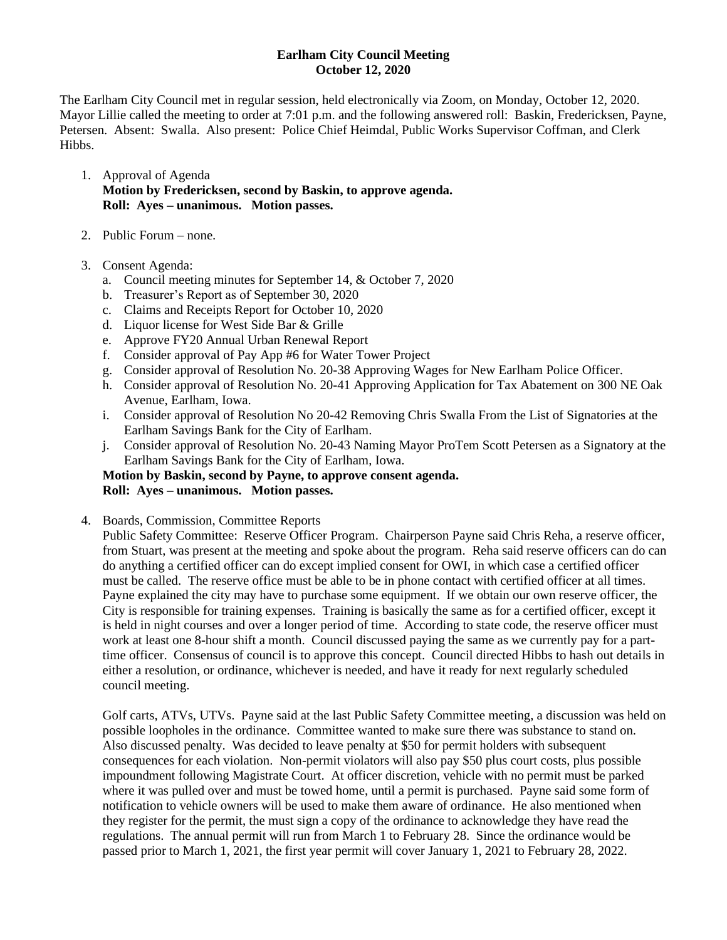## **Earlham City Council Meeting October 12, 2020**

The Earlham City Council met in regular session, held electronically via Zoom, on Monday, October 12, 2020. Mayor Lillie called the meeting to order at 7:01 p.m. and the following answered roll: Baskin, Fredericksen, Payne, Petersen. Absent: Swalla. Also present: Police Chief Heimdal, Public Works Supervisor Coffman, and Clerk Hibbs.

- 1. Approval of Agenda **Motion by Fredericksen, second by Baskin, to approve agenda. Roll: Ayes – unanimous. Motion passes.**
- 2. Public Forum none.
- 3. Consent Agenda:
	- a. Council meeting minutes for September 14, & October 7, 2020
	- b. Treasurer's Report as of September 30, 2020
	- c. Claims and Receipts Report for October 10, 2020
	- d. Liquor license for West Side Bar & Grille
	- e. Approve FY20 Annual Urban Renewal Report
	- f. Consider approval of Pay App #6 for Water Tower Project
	- g. Consider approval of Resolution No. 20-38 Approving Wages for New Earlham Police Officer.
	- h. Consider approval of Resolution No. 20-41 Approving Application for Tax Abatement on 300 NE Oak Avenue, Earlham, Iowa.
	- i. Consider approval of Resolution No 20-42 Removing Chris Swalla From the List of Signatories at the Earlham Savings Bank for the City of Earlham.
	- j. Consider approval of Resolution No. 20-43 Naming Mayor ProTem Scott Petersen as a Signatory at the Earlham Savings Bank for the City of Earlham, Iowa.

## **Motion by Baskin, second by Payne, to approve consent agenda. Roll: Ayes – unanimous. Motion passes.**

4. Boards, Commission, Committee Reports

Public Safety Committee: Reserve Officer Program. Chairperson Payne said Chris Reha, a reserve officer, from Stuart, was present at the meeting and spoke about the program. Reha said reserve officers can do can do anything a certified officer can do except implied consent for OWI, in which case a certified officer must be called. The reserve office must be able to be in phone contact with certified officer at all times. Payne explained the city may have to purchase some equipment. If we obtain our own reserve officer, the City is responsible for training expenses. Training is basically the same as for a certified officer, except it is held in night courses and over a longer period of time. According to state code, the reserve officer must work at least one 8-hour shift a month. Council discussed paying the same as we currently pay for a parttime officer. Consensus of council is to approve this concept. Council directed Hibbs to hash out details in either a resolution, or ordinance, whichever is needed, and have it ready for next regularly scheduled council meeting.

Golf carts, ATVs, UTVs. Payne said at the last Public Safety Committee meeting, a discussion was held on possible loopholes in the ordinance. Committee wanted to make sure there was substance to stand on. Also discussed penalty. Was decided to leave penalty at \$50 for permit holders with subsequent consequences for each violation. Non-permit violators will also pay \$50 plus court costs, plus possible impoundment following Magistrate Court. At officer discretion, vehicle with no permit must be parked where it was pulled over and must be towed home, until a permit is purchased. Payne said some form of notification to vehicle owners will be used to make them aware of ordinance. He also mentioned when they register for the permit, the must sign a copy of the ordinance to acknowledge they have read the regulations. The annual permit will run from March 1 to February 28. Since the ordinance would be passed prior to March 1, 2021, the first year permit will cover January 1, 2021 to February 28, 2022.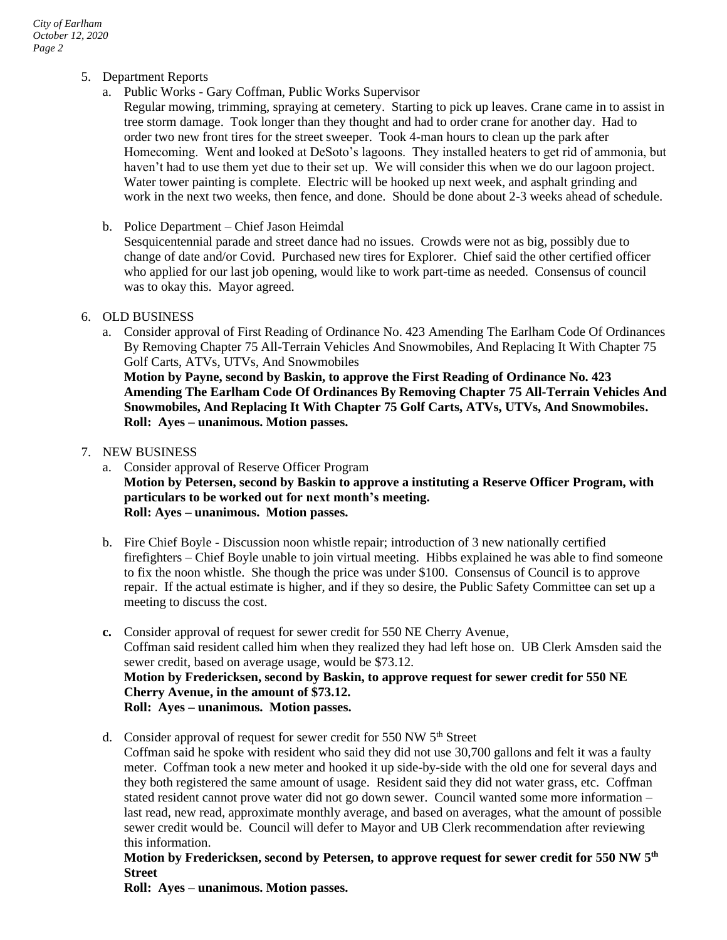- 5. Department Reports
	- a. Public Works Gary Coffman, Public Works Supervisor

Regular mowing, trimming, spraying at cemetery. Starting to pick up leaves. Crane came in to assist in tree storm damage. Took longer than they thought and had to order crane for another day. Had to order two new front tires for the street sweeper. Took 4-man hours to clean up the park after Homecoming. Went and looked at DeSoto's lagoons. They installed heaters to get rid of ammonia, but haven't had to use them yet due to their set up. We will consider this when we do our lagoon project. Water tower painting is complete. Electric will be hooked up next week, and asphalt grinding and work in the next two weeks, then fence, and done. Should be done about 2-3 weeks ahead of schedule.

b. Police Department – Chief Jason Heimdal

Sesquicentennial parade and street dance had no issues. Crowds were not as big, possibly due to change of date and/or Covid. Purchased new tires for Explorer. Chief said the other certified officer who applied for our last job opening, would like to work part-time as needed. Consensus of council was to okay this. Mayor agreed.

## 6. OLD BUSINESS

a. Consider approval of First Reading of Ordinance No. 423 Amending The Earlham Code Of Ordinances By Removing Chapter 75 All-Terrain Vehicles And Snowmobiles, And Replacing It With Chapter 75 Golf Carts, ATVs, UTVs, And Snowmobiles

**Motion by Payne, second by Baskin, to approve the First Reading of Ordinance No. 423 Amending The Earlham Code Of Ordinances By Removing Chapter 75 All-Terrain Vehicles And Snowmobiles, And Replacing It With Chapter 75 Golf Carts, ATVs, UTVs, And Snowmobiles. Roll: Ayes – unanimous. Motion passes.**

- 7. NEW BUSINESS
	- a. Consider approval of Reserve Officer Program **Motion by Petersen, second by Baskin to approve a instituting a Reserve Officer Program, with particulars to be worked out for next month's meeting. Roll: Ayes – unanimous. Motion passes.**
	- b. Fire Chief Boyle Discussion noon whistle repair; introduction of 3 new nationally certified firefighters – Chief Boyle unable to join virtual meeting. Hibbs explained he was able to find someone to fix the noon whistle. She though the price was under \$100. Consensus of Council is to approve repair. If the actual estimate is higher, and if they so desire, the Public Safety Committee can set up a meeting to discuss the cost.
	- **c.** Consider approval of request for sewer credit for 550 NE Cherry Avenue, Coffman said resident called him when they realized they had left hose on. UB Clerk Amsden said the sewer credit, based on average usage, would be \$73.12. **Motion by Fredericksen, second by Baskin, to approve request for sewer credit for 550 NE Cherry Avenue, in the amount of \$73.12. Roll: Ayes – unanimous. Motion passes.**
	- d. Consider approval of request for sewer credit for 550 NW  $5<sup>th</sup>$  Street Coffman said he spoke with resident who said they did not use 30,700 gallons and felt it was a faulty meter. Coffman took a new meter and hooked it up side-by-side with the old one for several days and they both registered the same amount of usage. Resident said they did not water grass, etc. Coffman stated resident cannot prove water did not go down sewer. Council wanted some more information – last read, new read, approximate monthly average, and based on averages, what the amount of possible sewer credit would be. Council will defer to Mayor and UB Clerk recommendation after reviewing this information.

## **Motion by Fredericksen, second by Petersen, to approve request for sewer credit for 550 NW 5th Street**

**Roll: Ayes – unanimous. Motion passes.**